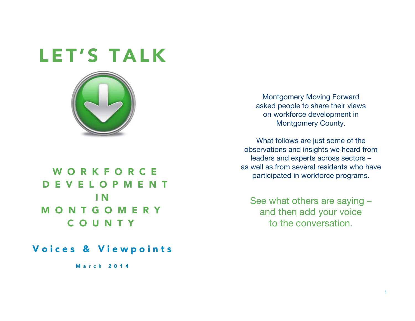# LET'S TALK



# WORKFORCE DEVELOPMENT I N **MONTGOMERY** COUNTY

### Voices & Viewpoints

March 2014

Montgomery Moving Forward asked people to share their views on workforce development in Montgomery County.

What follows are just some of the observations and insights we heard from leaders and experts across sectors – as well as from several residents who have participated in workforce programs.

See what others are saying – and then add your voice to the conversation.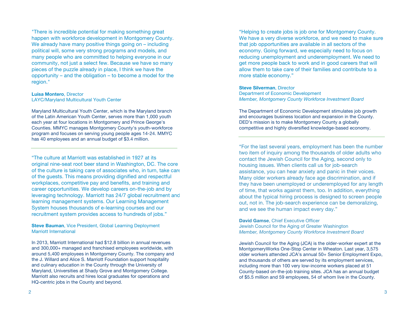"There is incredible potential for making something great happen with workforce development in Montgomery County. We already have many positive things going on – including political will, some very strong programs and models, and many people who are committed to helping everyone in our community, not just a select few. Because we have so many pieces of the puzzle already in place, I think we have the opportunity – and the obligation – to become a model for the region."

**Luisa Montero**, Director LAYC/Maryland Multicultural Youth Center

Maryland Multicultural Youth Center, which is the Maryland branch of the Latin American Youth Center, serves more than 1,000 youth each year at four locations in Montgomery and Prince George's Counties. MMYC manages Montgomery County's youth-workforce program and focuses on serving young people ages 14-24. MMYC has 40 employees and an annual budget of \$3.4 million.

"The culture at Marriott was established in 1927 at its original nine-seat root beer stand in Washington, DC. The core of the culture is taking care of associates who, in turn, take care of the guests. This means providing dignified and respectful workplaces, competitive pay and benefits, and training and career opportunities. We develop careers on-the-job and by leveraging technology. Marriott has 24/7 global recruitment and learning management systems. Our Learning Management System houses thousands of e-learning courses and our recruitment system provides access to hundreds of jobs."

**Steve Bauman**, Vice President, Global Learning Deployment Marriott International

In 2013, Marriott International had \$12.8 billion in annual revenues and 300,000+ managed and franchised employees worldwide, with around 5,400 employees in Montgomery County. The company and the J. Willard and Alice S. Marriott Foundation support hospitality and culinary education in the County through the University of Maryland, Universities at Shady Grove and Montgomery College. Marriott also recruits and hires local graduates for operations and HQ-centric jobs in the County and beyond.

"Helping to create jobs is job one for Montgomery County. We have a very diverse workforce, and we need to make sure that job opportunities are available in all sectors of the economy. Going forward, we especially need to focus on reducing unemployment and underemployment. We need to get more people back to work and in good careers that will allow them to take care of their families and contribute to a more stable economy."

#### **Steve Silverman**, Director

Department of Economic Development *Member, Montgomery County Workforce Investment Board*

The Department of Economic Development stimulates job growth and encourages business location and expansion in the County. DED's mission is to make Montgomery County a globally competitive and highly diversified knowledge-based economy.

"For the last several years, employment has been the number two item of inquiry among the thousands of older adults who contact the Jewish Council for the Aging, second only to housing issues. When clients call us for job-search assistance, you can hear anxiety and panic in their voices. Many older workers already face age discrimination, and if they have been unemployed or underemployed for any length of time, that works against them, too. In addition, everything about the typical hiring process is designed to screen people out, not in. The job-search experience can be demoralizing, and we see the human impact every day."

**David Gamse**, Chief Executive Officer Jewish Council for the Aging of Greater Washington *Member, Montgomery County Workforce Investment Board*

Jewish Council for the Aging (JCA) is the older-worker expert at the MontgomeryWorks One-Stop Center in Wheaton. Last year, 3,575 older workers attended JCA's annual 50+ Senior Employment Expo, and thousands of others are served by its employment services, including more than 100 very low-income workers placed at 51 County-based on-the-job training sites. JCA has an annual budget of \$5.5 million and 59 employees, 54 of whom live in the County.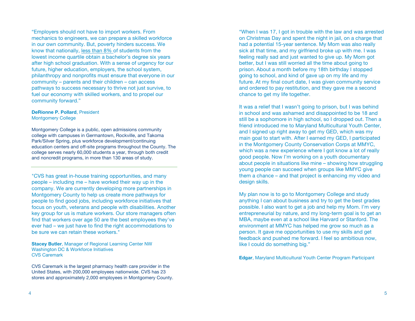"Employers should not have to import workers. From mechanics to engineers, we can prepare a skilled workforce in our own community. But, poverty hinders success. We know that nationally, less than 8% of students from the lowest income quartile obtain a bachelor's degree six years after high school graduation. With a sense of urgency for our future, higher education, employers, the school system, philanthropy and nonprofits must ensure that everyone in our community – parents and their children – can access pathways to success necessary to thrive not just survive, to fuel our economy with skilled workers, and to propel our community forward."

#### **DeRionne P. Pollard**, President Montgomery College

Montgomery College is a public, open admissions community college with campuses in Germantown, Rockville, and Takoma Park/Silver Spring, plus workforce development/continuing education centers and off-site programs throughout the County. The college serves nearly 60,000 students a year, through both credit and noncredit programs, in more than 130 areas of study.

"CVS has great in-house training opportunities, and many people – including me – have worked their way up in the company. We are currently developing more partnerships in Montgomery County to help us create more pathways for people to find good jobs, including workforce initiatives that focus on youth, veterans and people with disabilities. Another key group for us is mature workers. Our store managers often find that workers over age 50 are the best employees they've ever had – we just have to find the right accommodations to be sure we can retain these workers."

**Stacey Butler**, Manager of Regional Learning Center NW Washington DC & Workforce Initiatives CVS Caremark

CVS Caremark is the largest pharmacy health care provider in the United States, with 200,000 employees nationwide. CVS has 23 stores and approximately 2,000 employees in Montgomery County.

"When I was 17, I got in trouble with the law and was arrested on Christmas Day and spent the night in jail, on a charge that had a potential 15-year sentence. My Mom was also really sick at that time, and my girlfriend broke up with me. I was feeling really sad and just wanted to give up. My Mom got better, but I was still worried all the time about going to prison. About a month before my 18th birthday I stopped going to school, and kind of gave up on my life and my future. At my final court date, I was given community service and ordered to pay restitution, and they gave me a second chance to get my life together.

It was a relief that I wasn't going to prison, but I was behind in school and was ashamed and disappointed to be 18 and still be a sophomore in high school, so I dropped out. Then a friend introduced me to Maryland Multicultural Youth Center, and I signed up right away to get my GED, which was my main goal to start with. After I earned my GED, I participated in the Montgomery County Conservation Corps at MMYC, which was a new experience where I got know a lot of really good people. Now I'm working on a youth documentary about people in situations like mine – showing how struggling young people can succeed when groups like MMYC give them a chance – and that project is enhancing my video and design skills.

My plan now is to go to Montgomery College and study anything I can about business and try to get the best grades possible. I also want to get a job and help my Mom. I'm very entrepreneurial by nature, and my long-term goal is to get an MBA, maybe even at a school like Harvard or Stanford. The environment at MMYC has helped me grow so much as a person. It gave me opportunities to use my skills and get feedback and pushed me forward. I feel so ambitious now, like I could do something big."

**Edgar**, Maryland Multicultural Youth Center Program Participant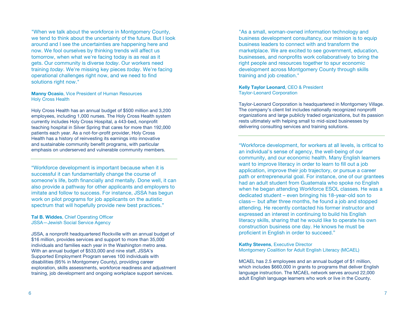"When we talk about the workforce in Montgomery County, we tend to think about the uncertainty of the future. But I look around and I see the uncertainties are happening here and now. We fool ourselves by thinking trends will affect us tomorrow, when what we're facing today is as real as it gets. Our community is diverse *today*. Our workers need training *today*. We're missing key pieces *today*. We're facing operational challenges right now, and we need to find solutions right now."

**Manny Ocasio**, Vice President of Human Resources Holy Cross Health

Holy Cross Health has an annual budget of \$500 million and 3,200 employees, including 1,000 nurses. The Holy Cross Health system currently includes Holy Cross Hospital, a 443-bed, nonprofit teaching hospital in Silver Spring that cares for more than 192,000 patients each year. As a not-for-profit provider, Holy Cross Health has a history of reinvesting its earnings into innovative and sustainable community benefit programs, with particular emphasis on underserved and vulnerable community members.

"Workforce development is important because when it is successful it can fundamentally change the course of someone's life, both financially and mentally. Done well, it can also provide a pathway for other applicants and employers to imitate and follow to success. For instance, JSSA has begun work on pilot programs for job applicants on the autistic spectrum that will hopefully provide new best practices."

**Tal B. Widdes**, Chief Operating Officer JSSA—Jewish Social Service Agency

JSSA, a nonprofit headquartered Rockville with an annual budget of \$16 million, provides services and support to more than 35,000 individuals and families each year in the Washington metro area. With an annual budget of \$533,000 and nine staff, JSSA's Supported Employment Program serves 100 individuals with disabilities (95% in Montgomery County), providing career exploration, skills assessments, workforce readiness and adjustment training, job development and ongoing workplace support services.

"As a small, woman-owned information technology and business development consultancy, our mission is to equip business leaders to connect with and transform the marketplace. We are excited to see government, education, businesses, and nonprofits work collaboratively to bring the right people and resources together to spur economic development across Montgomery County through skills training and job creation."

**Kelly Taylor Leonard**, CEO & President Taylor-Leonard Corporation

Taylor-Leonard Corporation is headquartered in Montgomery Village. The company's client list includes nationally recognized nonprofit organizations and large publicly traded organizations, but its passion rests ultimately with helping small to mid-sized businesses by delivering consulting services and training solutions.

"Workforce development, for workers at all levels, is critical to an individual's sense of agency, the well-being of our community, and our economic health. Many English learners want to improve literacy in order to learn to fill out a job application, improve their job trajectory, or pursue a career path or entrepreneurial goal. For instance, one of our grantees had an adult student from Guatemala who spoke no English when he began attending Workforce ESOL classes. He was a dedicated student – even bringing his 18-year-old son to class— but after three months, he found a job and stopped attending. He recently contacted his former instructor and expressed an interest in continuing to build his English literacy skills, sharing that he would like to operate his own construction business one day. He knows he must be proficient in English in order to succeed."

**Kathy Stevens**, Executive Director Montgomery Coalition for Adult English Literacy (MCAEL)

MCAEL has 2.5 employees and an annual budget of \$1 million, which includes \$660,000 in grants to programs that deliver English language instruction. The MCAEL network serves around 22,000 adult English language learners who work or live in the County.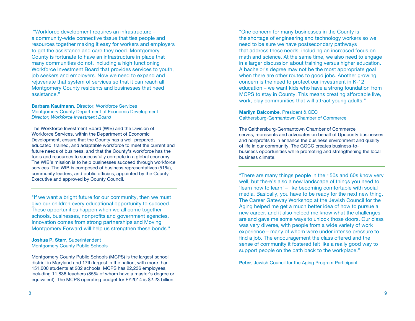"Workforce development requires an infrastructure – a community-wide connective tissue that ties people and resources together making it easy for workers and employers to get the assistance and care they need. Montgomery County is fortunate to have an infrastructure in place that many communities do not, including a high functioning Workforce Investment Board that provides services to youth, job seekers and employers. Now we need to expand and rejuvenate that system of services so that it can reach all Montgomery County residents and businesses that need assistance."

#### **Barbara Kaufmann**, Director, Workforce Services Montgomery County Department of Economic Development *Director, Workforce Investment Board*

The Workforce Investment Board (WIB) and the Division of Workforce Services, within the Department of Economic Development, ensure that the County has a well-prepared, educated, trained, and adaptable workforce to meet the current and future needs of business, and that the County's workforce has the tools and resources to successfully compete in a global economy. The WIB's mission is to help businesses succeed through workforce services. The WIB is composed of business representatives (51%), community leaders, and public officials, appointed by the County Executive and approved by County Council.

"If we want a bright future for our community, then we must give our children every educational opportunity to succeed. These opportunities happen when we all come together  $$ schools, businesses, nonprofits and government agencies. Innovation comes from strong partnerships and Moving Montgomery Forward will help us strengthen these bonds."

#### **Joshua P. Starr**, Superintendent Montgomery County Public Schools

Montgomery County Public Schools (MCPS) is the largest school district in Maryland and 17th largest in the nation, with more than 151,000 students at 202 schools. MCPS has 22,236 employees, including 11,836 teachers (85% of whom have a master's degree or equivalent). The MCPS operating budget for FY2014 is \$2.23 billion.

"One concern for many businesses in the County is the shortage of engineering and technology workers so we need to be sure we have postsecondary pathways that address these needs, including an increased focus on math and science. At the same time, we also need to engage in a larger discussion about training versus higher education. A bachelor's degree may not be the most appropriate goal when there are other routes to good jobs. Another growing concern is the need to protect our investment in K-12 education – we want kids who have a strong foundation from MCPS to stay in County. This means creating affordable live, work, play communities that will attract young adults."

#### **Marilyn Balcombe**, President & CEO Gaithersburg-Germantown Chamber of Commerce

The Gaithersburg-Germantown Chamber of Commerce serves, represents and advocates on behalf of Upcounty businesses and nonprofits to in enhance the business environment and quality of life in our community. The GGCC creates business-tobusiness opportunities while promoting and strengthening the local business climate.

"There are many things people in their 50s and 60s know very well, but there's also a new landscape of things you need to 'learn how to learn' – like becoming comfortable with social media. Basically, you have to be ready for the next new thing. The Career Gateway Workshop at the Jewish Council for the Aging helped me get a much better idea of how to pursue a new career, and it also helped me know what the challenges are and gave me some ways to unlock those doors. Our class was very diverse, with people from a wide variety of work experience – many of whom were under intense pressure to find a job. The encouragement the class offered and the sense of community it fostered felt like a really good way to support people on the path back to the workplace."

**Peter**, Jewish Council for the Aging Program Participant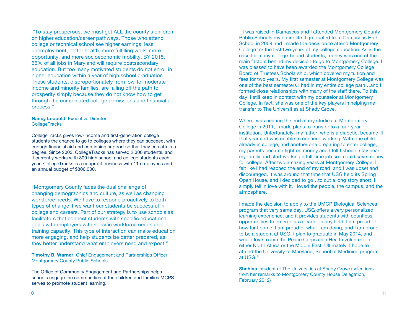"To stay prosperous, we must get ALL the county's children on higher education/career pathways. Those who attend college or technical school see higher earnings, less unemployment, better health, more fulfilling work, more opportunity, and more socioeconomic mobility. BY 2018, 66% of all jobs in Maryland will require postsecondary education. But too many motivated students do not enroll in higher education within a year of high school graduation. These students, disproportionately from low-to-moderate income and minority families, are falling off the path to prosperity simply because they do not know how to get through the complicated college admissions and financial aid process."

#### **Nancy Leopold**, Executive Director **CollegeTracks**

CollegeTracks gives low-income and first-generation college students the chance to go to colleges where they can succeed, with enough financial aid and continuing support so that they can attain a degree. Since 2003, CollegeTracks has served 2,300 students, and it currently works with 800 high school and college students each year. CollegeTracks is a nonprofit business with 11 employees and an annual budget of \$800,000.

"Montgomery County faces the dual challenge of changing demographics and culture, as well as changing workforce needs. We have to respond proactively to both types of change if we want our students be successful in college and careers. Part of our strategy is to use schools as facilitators that connect students with specific educational goals with employers with specific workforce needs and training capacity. This type of interaction can make education more engaging, and help students be better prepared, as they better understand what employers need and expect."

**Timothy B. Warner**, Chief Engagement and Partnerships Officer Montgomery County Public Schools

The Office of Community Engagement and Partnerships helps schools engage the communities of the children and families MCPS serves to promote student learning.

"I was raised in Damascus and I attended Montgomery County Public Schools my entire life. I graduated from Damascus High School in 2009 and I made the decision to attend Montgomery College for the first two years of my college education. As is the case for many college-bound students, money was one of the main factors behind my decision to go to Montgomery College. I was blessed to have been awarded the Montgomery College Board of Trustees Scholarship, which covered my tuition and fees for two years. My first semester at Montgomery College was one of the best semesters I had in my entire college path…and I formed close relationships with many of the staff there. To this day, I still keep in contact with my counselor at Montgomery College. In fact, she was one of the key players in helping me transfer to The Universities at Shady Grove.

When I was nearing the end of my studies at Montgomery College in 2011, I made plans to transfer to a four-year institution. Unfortunately, my father, who is a diabetic, became ill that year and was unable to continue working. With one child already in college, and another one preparing to enter college, my parents became tight on money and I felt I should stay near my family and start working a full-time job so I could save money for college. After two amazing years at Montgomery College, I felt like I had reached the end of my road, and I was upset and discouraged. It was around that time that USG held its Spring Open House, and I decided to go…to cut a long story short, I simply fell in love with it. I loved the people, the campus, and the atmosphere.

I made the decision to apply to the UMCP Biological Sciences program that very same day. USG offers a very personalized learning experience, and it provides students with countless opportunities to emerge as a leader in any field. I am proud of how far I come, I am proud of what I am doing, and I am proud to be a student at USG. I plan to graduate in May 2014, and I would love to join the Peace Corps as a Health volunteer in either North Africa or the Middle East. Ultimately, I hope to attend the University of Maryland, School of Medicine program at USG."

**Shahina**, student at The Universities at Shady Grove (selections from her remarks to Montgomery County House Delegation, February 2012)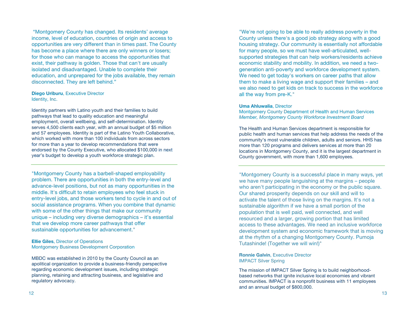"Montgomery County has changed. Its residents' average income, level of education, countries of origin and access to opportunities are very different than in times past. The County has become a place where there are only winners or losers; for those who can manage to access the opportunities that exist, their pathway is golden. Those that can't are usually isolated and disadvantaged. Unable to complete their education, and unprepared for the jobs available, they remain disconnected. They are left behind."

**Diego Uriburu**, Executive Director Identity, Inc.

Identity partners with Latino youth and their families to build pathways that lead to quality education and meaningful employment, overall wellbeing, and self-determination. Identity serves 4,500 clients each year, with an annual budget of \$5 million and 57 employees. Identity is part of the Latino Youth Collaborative, which worked with more than 100 individuals from across sectors for more than a year to develop recommendations that were endorsed by the County Executive, who allocated \$100,000 in next year's budget to develop a youth workforce strategic plan.

"Montgomery County has a barbell-shaped employability problem. There are opportunities in both the entry-level and advance-level positions, but not as many opportunities in the middle. It's difficult to retain employees who feel stuck in entry-level jobs, and those workers tend to cycle in and out of social assistance programs. When you combine that dynamic with some of the other things that make our community unique – including very diverse demographics – it's essential that we develop more career pathways that offer sustainable opportunities for advancement."

**Ellie Giles**, Director of Operations Montgomery Business Development Corporation

MBDC was established in 2010 by the County Council as an apolitical organization to provide a business-friendly perspective regarding economic development issues, including strategic planning, retaining and attracting business, and legislative and regulatory advocacy.

"We're not going to be able to really address poverty in the County unless there's a good job strategy along with a good housing strategy. Our community is essentially not affordable for many people, so we must have well-articulated, wellsupported strategies that can help workers/residents achieve economic stability and mobility. In addition, we need a twogeneration anti-poverty and workforce development system. We need to get today's workers on career paths that allow them to make a living wage and support their families – and we also need to get kids on track to success in the workforce all the way from pre-K."

#### **Uma Ahluwalia**, Director

Montgomery County Department of Health and Human Services *Member, Montgomery County Workforce Investment Board*

The Health and Human Services department is responsible for public health and human services that help address the needs of the community's most vulnerable children, adults and seniors. HHS has more than 120 programs and delivers services at more than 20 locations in Montgomery County, and it is the largest department in County government, with more than 1,600 employees.

"Montgomery County is a successful place in many ways, yet we have many people languishing at the margins – people who aren't participating in the economy or the public square. Our shared prosperity depends on our skill and will to activate the talent of those living on the margins. It's not a sustainable algorithm if we have a small portion of the population that is well paid, well connected, and well resourced and a larger, growing portion that has limited access to these advantages. We need an inclusive workforce development system and economic framework that is moving at the rhythm of a changing Montgomery County. Pumoja Tutashinde! (Together we will win!)"

**Ronnie Galvin**, Executive Director IMPACT Silver Spring

The mission of IMPACT Silver Spring is to build neighborhoodbased networks that ignite inclusive local economies and vibrant communities. IMPACT is a nonprofit business with 11 employees and an annual budget of \$800,000.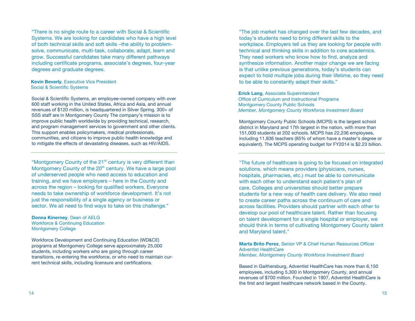"There is no single route to a career with Social & Scientific Systems. We are looking for candidates who have a high level of both technical skills and soft skills –the ability to problemsolve, communicate, multi-task, collaborate, adapt, learn and grow. Successful candidates take many different pathways including certificate programs, associate's degrees, four-year degrees and graduate degrees.

#### **Kevin Beverly**, Executive Vice President Social & Scientific Systems

Social & Scientific Systems, an employee-owned company with over 600 staff working in the United States, Africa and Asia, and annual revenues of \$120 million, is headquartered in Silver Spring. 300+ of SSS staff are in Montgomery County The company's mission is to improve public health worldwide by providing technical, research, and program management services to government and other clients. This support enables policymakers, medical professionals, communities, and citizens to improve public health knowledge and to mitigate the effects of devastating diseases, such as HIV/AIDS.

"Montgomery County of the 21<sup>st</sup> century is very different than Montgomery County of the 20<sup>th</sup> century. We have a large pool of underserved people who need access to education and training, and we have employers – here in the County and across the region – looking for qualified workers. Everyone needs to take ownership of workforce development. It's not just the responsibility of a single agency or business or sector. We all need to find ways to take on this challenge."

**Donna Kinerney**, Dean of AELG Workforce & Continuing Education Montgomery College

Workforce Development and Continuing Education (WD&CE) programs at Montgomery College serve approximately 25,000 students, including workers who are going through career transitions, re-entering the workforce, or who need to maintain current technical skills, including licensure and certifications.

"The job market has changed over the last few decades, and today's students need to bring different skills to the workplace. Employers tell us they are looking for people with technical and thinking skills in addition to core academics. They need workers who know how to find, analyze and synthesize information. Another major change we are facing is that unlike previous generations, today's students can expect to hold multiple jobs during their lifetime, so they need to be able to constantly adapt their skills."

**Erick Lang**, Associate Superintendent Office of Curriculum and Instructional Programs **Montgomery County Public Schools** *Member, Montgomery County Workforce Investment Board*

Montgomery County Public Schools (MCPS) is the largest school district in Maryland and 17th largest in the nation, with more than 151,000 students at 202 schools. MCPS has 22,236 employees, including 11,836 teachers (85% of whom have a master's degree or equivalent). The MCPS operating budget for FY2014 is \$2.23 billion.

"The future of healthcare is going to be focused on integrated solutions, which means providers (physicians, nurses, hospitals, pharmacies, etc.) must be able to communicate with each other to understand each patient's plan of care. Colleges and universities should better prepare students for a new way of health care delivery. We also need to create career paths across the continuum of care and across facilities. Providers should partner with each other to develop our pool of healthcare talent. Rather than focusing on talent development for a single hospital or employer, we should think in terms of cultivating Montgomery County talent and Maryland talent."

**Marta Brito Perez**, Senior VP & Chief Human Resources Officer Adventist HealthCare *Member, Montgomery County Workforce Investment Board*

Based in Gaithersburg, Adventist HealthCare has more than 6,150 employees, including 5,300 in Montgomery County, and annual revenues of \$700 million. Founded in 1907, Adventist HealthCare is the first and largest healthcare network based in the County.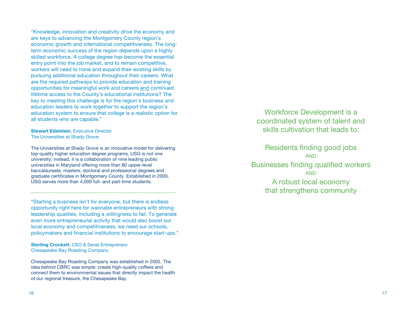"Knowledge, innovation and creativity drive the economy and are keys to advancing the Montgomery County region's economic growth and international competitiveness. The longterm economic success of the region depends upon a highly skilled workforce. A college degree has become the essential entry point into the job market, and to remain competitive, workers will need to hone and expand their existing skills by pursuing additional education throughout their careers. What are the required pathways to provide education and training opportunities for meaningful work and careers and continued lifetime access to the County's educational institutions? The key to meeting this challenge is for the region's business and education leaders to work together to support the region's education system to ensure that college is a realistic option for all students who are capable."

**Stewart Edelstein**, Executive Director The Universities at Shady Grove

The Universities at Shady Grove is an innovative model for delivering top-quality higher education degree programs. USG is not one university; instead, it is a collaboration of nine leading public universities in Maryland offering more than 80 upper-level baccalaureate, masters, doctoral and professional degrees and graduate certificates in Montgomery County. Established in 2000, USG serves more than 4,000 full- and part-time students.

"Starting a business isn't for everyone, but there is endless opportunity right here for wannabe entrepreneurs with strong leadership qualities, including a willingness to fail. To generate even more entrepreneurial activity that would also boost our local economy and competitiveness, we need our schools, policymakers and financial institutions to encourage start-ups."

**Sterling Crockett**, CEO & Serial Entrepreneur Chesapeake Bay Roasting Company

Chesapeake Bay Roasting Company was established in 2002. The idea behind CBRC was simple: create high-quality coffees and connect them to environmental issues that directly impact the health of our regional treasure, the Chesapeake Bay.

Workforce Development is a coordinated system of talent and skills cultivation that leads to:

Residents finding good jobs AND Businesses finding qualified workers AND A robust local economy that strengthens community